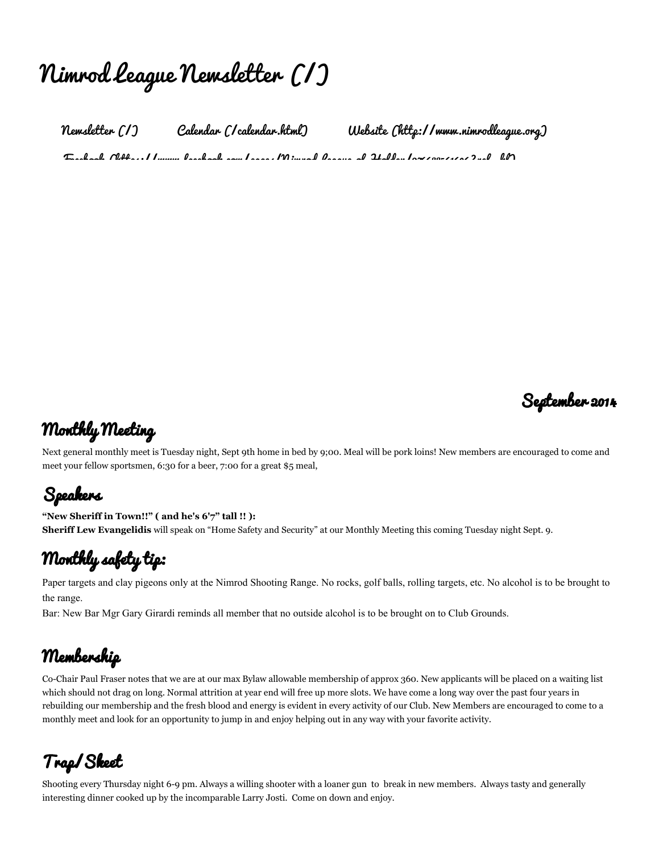# Nimrod League [Newsletter](http://nimrodleague.weebly.com/) (/)

[Newsletter](http://nimrodleague.weebly.com/) (/) Calendar [\(/calendar.html\)](http://nimrodleague.weebly.com/calendar.html) Website [\(http://www.nimrodleague.org\)](http://www.nimrodleague.org/)  $\tau$ . A. A. A. A.  $\tau$ 



#### Monthly Meeting

Next general monthly meet is Tuesday night, Sept 9th home in bed by 9;00. Meal will be pork loins! New members are encouraged to come and meet your fellow sportsmen, 6:30 for a beer, 7:00 for a great \$5 meal,

# Speakers

"New Sheriff in Town!!" ( and he's 6'7" tall !! ): Sheriff Lew Evangelidis will speak on "Home Safety and Security" at our Monthly Meeting this coming Tuesday night Sept. 9.

#### Monthly safety tip:

Paper targets and clay pigeons only at the Nimrod Shooting Range. No rocks, golf balls, rolling targets, etc. No alcohol is to be brought to the range.

Bar: New Bar Mgr Gary Girardi reminds all member that no outside alcohol is to be brought on to Club Grounds.

#### Membership

Co-Chair Paul Fraser notes that we are at our max Bylaw allowable membership of approx 360. New applicants will be placed on a waiting list which should not drag on long. Normal attrition at year end will free up more slots. We have come a long way over the past four years in rebuilding our membership and the fresh blood and energy is evident in every activity of our Club. New Members are encouraged to come to a monthly meet and look for an opportunity to jump in and enjoy helping out in any way with your favorite activity.

# Trap/Skeet

Shooting every Thursday night 6-9 pm. Always a willing shooter with a loaner gun to break in new members. Always tasty and generally interesting dinner cooked up by the incomparable Larry Josti. Come on down and enjoy.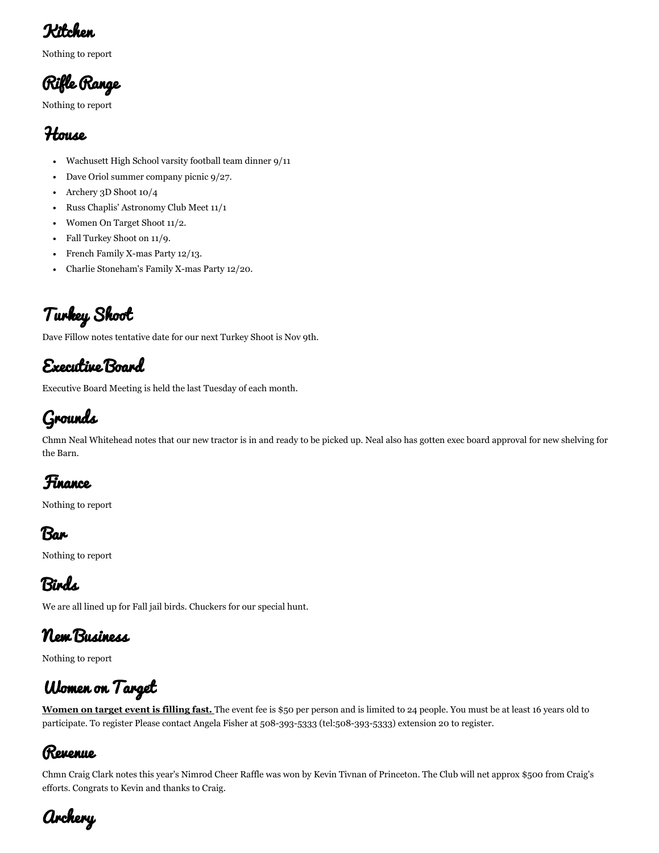#### Kitchen

Nothing to report

Rifle Range

Nothing to report

#### House

- Wachusett High School varsity football team dinner 9/11
- Dave Oriol summer company picnic 9/27.  $\bullet$
- Archery 3D Shoot 10/4  $\bullet$
- Russ Chaplis' Astronomy Club Meet 11/1
- Women On Target Shoot 11/2.  $\bullet$
- Fall Turkey Shoot on 11/9.  $\bullet$
- French Family X-mas Party 12/13.
- Charlie Stoneham's Family X-mas Party 12/20.  $\bullet$

# Turkey Shoot

Dave Fillow notes tentative date for our next Turkey Shoot is Nov 9th.

#### Executive Board

Executive Board Meeting is held the last Tuesday of each month.

# Grounds

Chmn Neal Whitehead notes that our new tractor is in and ready to be picked up. Neal also has gotten exec board approval for new shelving for the Barn.

# Finance

Nothing to report

Bar

Nothing to report

# Birds

We are all lined up for Fall jail birds. Chuckers for our special hunt.

#### New Business

Nothing to report

# Women on Target

Women on target event is filling fast. The event fee is \$50 per person and is limited to 24 people. You must be at least 16 years old to participate. To register Please contact Angela Fisher at 508-393-5333 [\(tel:508-393-5333\)](tel:508-393-5333) extension 20 to register.

#### Revenue

Chmn Craig Clark notes this year's Nimrod Cheer Raffle was won by Kevin Tivnan of Princeton. The Club will net approx \$500 from Craig's efforts. Congrats to Kevin and thanks to Craig.

Archery